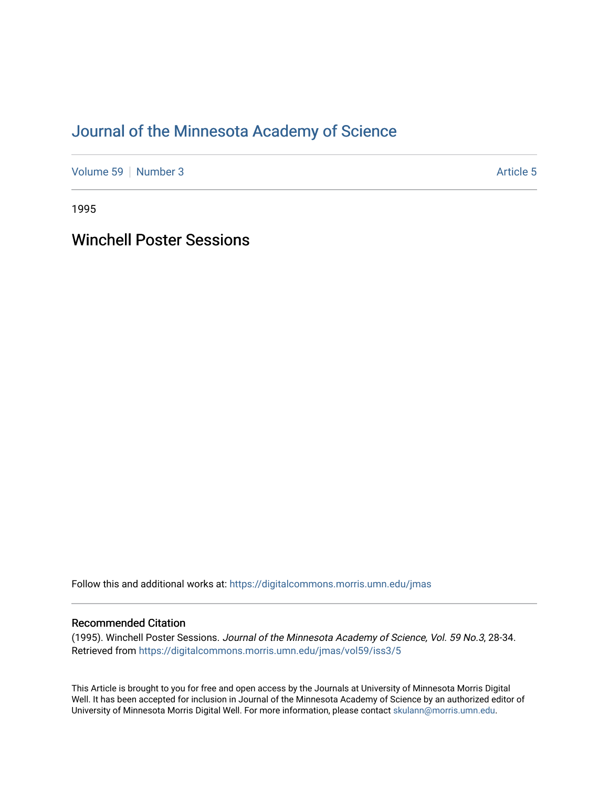# [Journal of the Minnesota Academy of Science](https://digitalcommons.morris.umn.edu/jmas)

[Volume 59](https://digitalcommons.morris.umn.edu/jmas/vol59) [Number 3](https://digitalcommons.morris.umn.edu/jmas/vol59/iss3) Article 5

1995

Winchell Poster Sessions

Follow this and additional works at: [https://digitalcommons.morris.umn.edu/jmas](https://digitalcommons.morris.umn.edu/jmas?utm_source=digitalcommons.morris.umn.edu%2Fjmas%2Fvol59%2Fiss3%2F5&utm_medium=PDF&utm_campaign=PDFCoverPages) 

### Recommended Citation

(1995). Winchell Poster Sessions. Journal of the Minnesota Academy of Science, Vol. 59 No.3, 28-34. Retrieved from [https://digitalcommons.morris.umn.edu/jmas/vol59/iss3/5](https://digitalcommons.morris.umn.edu/jmas/vol59/iss3/5?utm_source=digitalcommons.morris.umn.edu%2Fjmas%2Fvol59%2Fiss3%2F5&utm_medium=PDF&utm_campaign=PDFCoverPages)

This Article is brought to you for free and open access by the Journals at University of Minnesota Morris Digital Well. It has been accepted for inclusion in Journal of the Minnesota Academy of Science by an authorized editor of University of Minnesota Morris Digital Well. For more information, please contact [skulann@morris.umn.edu](mailto:skulann@morris.umn.edu).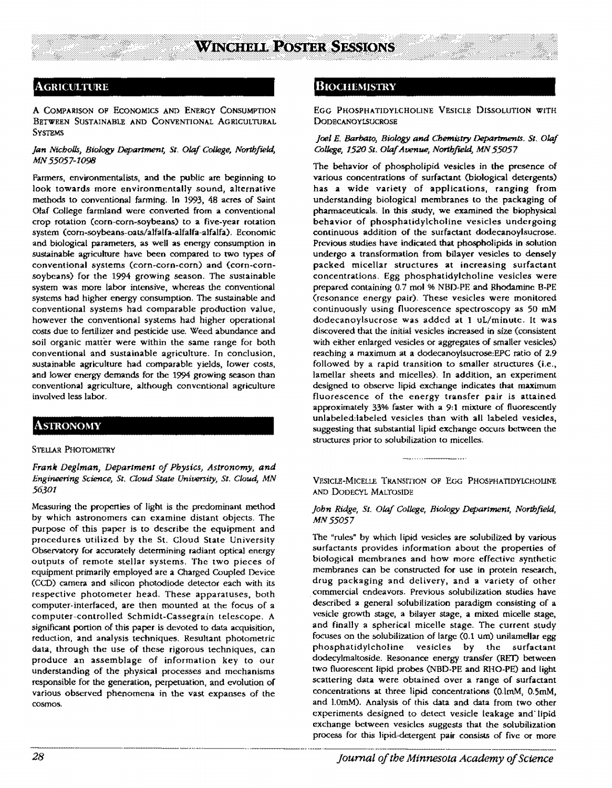### **Agriculture**

A COMPARISON OP EcoNOMlCS AND ENERGY CONSUMPTION BETWEEN SUSTAINABLE AND CONVENTIONAL AGRICULTURAL **SYSTEMS** 

### *Jan Nicholls, Biology Department, St. Olaf College, Northfield,*  MN *55057-1098*

Fanners, environmentalists, and the public are beginning to look towards more environmentally sound, alternative methods to conventional farming. In 1993, 48 acres of Saint Olaf College farmland were converted from a conventional crop rotation (com-corn-soybeans) to a five-year rotation system (corn-soybeans-oats/alfalfa-alfalfa-alfalfa). Economic and biological parameters, as well as energy consumption in sustainable agriculture have been compared to two types of conventional systems (corn-corn-com) **and** (corn-cornsoybeans) for the 1994 growing season. The sustainable system was more labor intensive, whereas the conventional systems had higher energy consumption. The sustainable and conventional systems had comparable production value, however the conventional systems had higher operational costs due to fertilizer and pesticide use. Weed abundance and soil organic matter were within the same range for both conventional and sustainable agriculture. In conclusion, sustainable agriculture had comparable yields, lower costs, and lower energy demands for the 1994 growing season than conventional agriculture, although conventional agriculture involved less labor.

# **ASTRONOMY**

### STELLAR PHOTOMETRY

*Frank Deglman, Department of Physics, Astronomy, and Engineering Science, St. Cloud State University, St. C1oud, MN 56301* 

Measuring the propenies of light is the predominant method by which astronomers can examine distant objects. The purpose of this paper is to describe the equipment and procedures utilized by the St. Cloud State University Observatory for accurately determining radiant optical energy outputs of remote stellar systems. The two pieces of equipment primarily employed are a Charged Coupled Device (CCD) camera and silicon photodiode detector each with its respective photometer head. These apparatuses, both computer-interfaced, are then mounted at the focus of a computer-controlled Schmidt-Cassegrain telescope. A significant ponion of this paper is devoted to data acquisition, reduction, and analysis techniques. Resultant photometric data, through the use of these rigorous techniques, can produce an assemblage of information key to our understanding of the physical processes and mechanisms responsible for the generation, perpetuation, and evolution or various observed phenomena in the vast expanses of the cosmos.

### **BIOCHEMISTRY**

EGG PHOSPHATIOYLCHOUNE VESICLE DISSOLUTION WITH **DODECANOYLSUCROSE** 

:r: l:l:l'.l'.i:l:~:;:;:;:~:~:~:;:~~ililililfltt;~lil!l!

### *Joel E. Barbato, Biology and Chemistry Departments. St. Olaf College, 1520 St. Olaf Avenue, Northfield, MN 55057*

The behavior of phospholipid vesicles in the presence of various concentrations of surfactant (biological detergents) has a wide variety of applications, ranging from understanding biological membranes to the packaging of pharmaceuticals. In this study, we examined the biophysical behavior of phosphatidylcholine vesicles undergoing continuous addition of the surfactant dodecanoylsucrose. Previous studies have indicated that phospholipids in solution undergo a transformation from bilayer vesicles to densely packed micellar structures at increasing surfactant concentrations. Egg phosphatidylcholine vesicles were prepared containing 0.7 mol % NBD-PE and Rhodamine B-PE (resonance energy pair). These vesicles were monitored continuously using fluorescence spectroscopy as 50 mM dodecanoylsucrose was added at 1 uL/minute. It was discovered that the initial vesicles increased in size (consistent with either enlarged vesicles or aggregates of smaller vesicles) reaching a maximum at a dodecanoylsucrose:EPC ratio of 2.9 followed by a rapid transition to smaller structures (i.e., lamellar sheets and micelles). In addition, an experiment designed to observe lipid exchange indicates that maximum fluorescence of the energy transfer pair is attained approximately 33% faster with a 9:1 mixture of fluoresccntly unlabeled:labeled vesicles than with **all** labeled vesicles, suggesting that substantial lipid exchange occurs between the structures prior to solubilization to micelles.

VESICLE-MICELLE TRANSITION OF EGG PHOSPHATIDYLCHOLINE AND DoDECYL MALT0SIOE

#### *John Ridge, St. Olaf College, Biology Department, Northfield,*  MN55057

The "rules" by which lipid vesicles are solubilized by various surfactants provides information about the properties of biological membranes and how more effective synthetic membranes can be constructed **for** use in protein research, drug packaging and delivery, and a variety of other commercial endeavors. Previous solubilization studies have described a general solubilization paradigm consisting of a vesicle growth stage, a bilayer stage, a mixed micelle stage, and finally a spherical micelle stage. The current study focuses on the solubilization of large  $(0.1 \text{ um})$  unilamellar egg phosphatidylcholine vesicles by the surfactant dodecylmaltoside. Resonance energy transfer (RED between two fluorescent lipid probes (NBD-PE and RHO-PE) and light scattering data were obtained over a range of surfactant concentrations at three lipid concentrations (O.lmM, 0.SmM, and l.0mM). Analysis of this data and data from two other experiments designed to detect vesicle leakage and· lipid exchange between vesicles suggests that the solubilization process for this lipid-detergent pair consists of five or more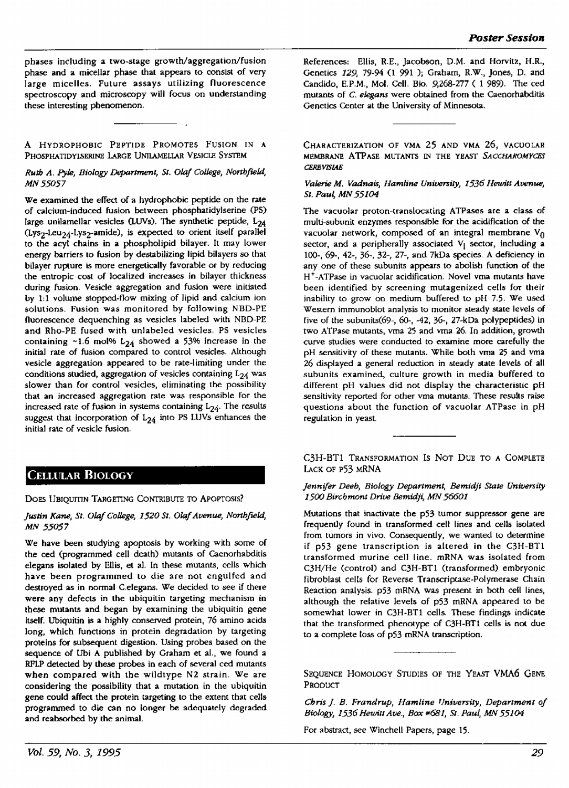phases including **a** two-stage growth/aggregation/fusion phase and a micellar phase that appears to consist of very iarge micelles. Future assays utilizing fluorescence spectroscopy and microscopy will focus on understanding these interesting phenomenon.

**A** HYDROPHOBIC PEPTIDE PROMOTES FUSION IN **A**  PHOSPHATIDYLSERINE LARGE UNILAMELLAR VESICLE SYSTEM

*Ruth A. Pyle, Biology* Depamnenl, *SI. Olaf College, Northfield, MN55057* 

We examined the effect of a hydrophobic peptide on the rate of calcium-Induced fusion between phosphatidylserine (PS) large unilamellar vesicles (LUVs). The synthetic peptide,  $L_{24}$ (Lys<sub>2</sub>-Leu<sub>24</sub>-Lys<sub>2</sub>-amide), is expected to orient itself parallel to the acyl chains in a phospholipid bilayer. It may lower energy barriers to fusion by destabilizing lipid bilayers so that bilayer rupture is more energetically favorable or by reducing the entropic cost of localized increases in bilayer thickness during fusion. Vesicle aggregation and fusion were initiated by 1:1 volume stopped-flow mixing of lipid and calcium ion solutions. Fusion was monitored by following NBD-PE fluorescence dequenching as vesicles labeled with NBD-PE and Rho-PE fused with unlabeled vesicles. PS vesicles containing  $-1.6$  mol%  $L_{24}$  showed a 53% increase in the initial rate of fusion compared to control vesicles. Although vesicle aggregation appeared to be rate-limiting under the conditions studied, aggregation of vesicles containing  $L_{24}$  was slower than for control vesicles, eliminating the possibility that an increased aggregation rate was responsible for the increased rate of fusion in systems containing  $L_{24}$ . The results suggest that incorporation of  $L_{24}$  into PS LUVs enhances the initial rate of vesicle fusion.

### CELLULAR BIOLOGY

DOES UBIQUITIN TARGETING CONTRIBUTE TO APOPTOSIS?

### Justin Kane, St. Olaf College, 1520 St. Olaf Avenue, Northfield, *MN 55057*

We have been studying apoptosis by working with some of the ced (programmed cell death) mutants of Caenorhabditis elegans isolated by Ellis, et al. In these mutants, cells which have been programmed to die are not engulfed and destroyed as in normal C.elegans. We decided to see if there were any defects in the ubiquitin targeting mechanism in these mutants and began by examining the ubiquitin gene itself. Ubiquitin is a highly conserved protein, 76 amino acids long, which functions in protein degradation by targeting proteins for subsequent digestion. Using probes based on the sequence of Ubi A published by Graham et al., we found a RPLP detected by these probes in each of several ced mutants when compared with the wildtype N2 strain. We are considering the possibility that a mutation in the ubiquitin gene could affect the protein targeting to the extent that cells programmed to die can no longer be adequately degraded and reabsorbed by the animal.

References: Ellis, R.E., Jacobson, D.M. and Horvitz, H.R., Genetics *129,* 79-94 (I 991 ); Graham, R.W., Jones, D. and Candido, E.P.M., Mol. Cell. Bio. 9,268-277 ( 1 989). The ced mutants or C. *elegans* were obtained from the Caenorhabditis Genetics Center at the University of Minnesota.

CHARACTERIZATION OF VMA 25 AND VMA 26, VACUOLAR MEMBRANE ATPASE MUTANTS IN THE YEAST SACCHAROMYCES *CERIJVISIAE* 

### *Valerie M. Vadnau, Hamline University, 1536 Hewin Avenue,*  SI. Paut MN *55104*

The vacuolar proton-translocating ATPases are a class of multi-subunit enzymes responsible for the acidification of the vacuolar network, composed of an integral membrane  $V_{\Omega}$ sector, and a peripherally associated  $V_1$  sector, including a 100-, 69-, 42-, 36-, 32-, 27-, and 7kDa species. A deficiency in any one of these subunits appears to abolish function of the H+-ATPase in vacuolar acidification. Novel vma mutants have been identified by screening. mutagenized cells fot their inability to grow on medium buffered to pH 7.5. We used Western immunoblot analysis to monitor steady state levels of five of the subunits(69-, 60-, -42, 36-, 27-kDa polypeptides) in two ATPase mutants, vma 25 and vma 26. In addition, growth curve studies were conducted to examine more carefully the pH sensitivity of these mutants. While both vma 25 and vma 26 displayed a general reduction in steady state levels of all subunits examined, culture growth in media buffered to different pH values did not display the characteristic pH sensitivity reported for other vma mutants. These results raise questions about the function of vacuolar ATPase in pH regulation in yeast.

C3H-BT1 TRANSFORMATION IS NOT DUE TO A COMPLETE LACK OF P53 MRNA

#### *Jennifer Deeb, Biology Department, Bemidji Stale University*  1500 *Birchmont Drive Bemidji,* MN *56601*

Mutations that inactivate the p53 tumor suppressor gene are frequently found in transformed cell lines and cells isolated from tumors in vivo. Consequently, we wanted to determine if p53 gene transcription is altered in the C3H-BT1 transformed murine cell line. mRNA was isolated from C3H/He (control) and C3H-BT1 (transformed) embryonic fibroblast cells for Reverse Transcriptase-Polymerase Chain Reaction analysis. p53 mRNA was present in both cell lines, although the relative levels of p53 mRNA appeared to be somewhat lower in C3H-BT1 cells. These findings indicate that the transformed phenotype of C3H-BT1 cells **is not** due to a complete loss of p53 **mRNA** transcription.

SEQUENCE HOMOLOGY STUDIES OF THE YEAST VMA6 GENE PRODUCT

*Chris J. B. Frandrup, Hamline f/niversity, Department of*  Biology, 1536 Hewitt Ave., Box #681, St. Paul, MN 55104

For abstract, see Winchell Papers, page 15.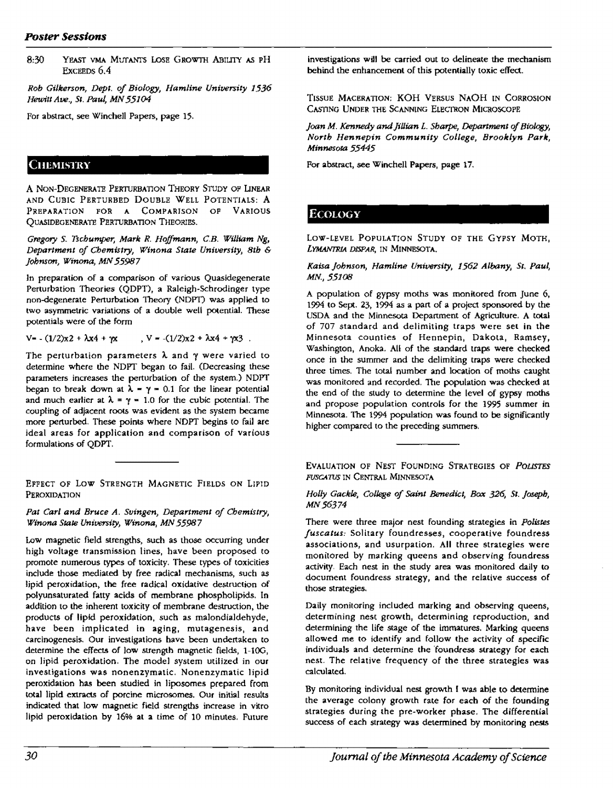8:30 YEAST VMA MUTANTS LOSE GROWTH ABILITY AS PH ExcEEDS 6.4

*Rob Gilkerson, Dept. of Biology, Hamline Univenity 1536 Hewitt Ave., St. Paul, MN 55104* 

For abstract, see Winchell Papers, **page** 15,

### **CHEMISTRY**

A NON-DEGENERATE PERTURBATION THEORY STUDY OF LINEAR AND CUBIC PERTURBED DOUBLE WELL POTENTIALS: **A**  PREPARATJ0N FOR A COMPARISON OP VARIOUS QUASIDEGENERATE PERTURBATION THEORIES.

Gregory S. *Tschumper, Mark R. Hoffmann, C.B. William Ng, Department of Chemistry, Winona State University, 8th* &- *Johnson, Winona, MN 55987* 

ln preparation of **a** comparison of various Quasidegenerate Perturbation Theories (QDPT), a Raleigh-Schrodinger type non-degenerate Perturbation Theory (NDP'I) was applied to two asymmetric variations of a double well potential. These potentials were of the form

 $V = -(1/2)x^2 + \lambda x^4 + \gamma x$ ,  $V = -(1/2)x^2 + \lambda x^4 + \gamma x^3$ .

The perturbation parameters  $\lambda$  and  $\gamma$  were varied to determine where the NDPT began to fail. (Decreasing these parameters increases the perturbation of the system.) NDPT began to break down at  $\lambda$  =  $\gamma$  = 0.1 for the linear potential and much earlier at  $\lambda = \gamma = 1.0$  for the cubic potential. The coupling of adjacent roots was evident as the system became more perturbed. These points where NDPT **begins** to fail are ideal areas for application and comparison of various formulations of QDPT.

EFFECT OF Low STRENGTH MAGNETIC FIELDS ON LIPlD PER0XIDATI0N

*Pat Carl and Bruce* A. *Sutngen, Department of Chemistry, Winona State University, Winona, MN 55987* 

Low magnetic field strengths, such as those occurring under high voltage transmission lines, have been proposed to promote numerous types of toxicity. These types of toxicities include those mediated by free radical mechanisms, such as lipid peroxidation, the free radical oxidative destruction of polyunsaturated fatty acids of membrane phospholipids. In addition to the inherent toxicity of membrane destruction, the products of lipid peroxidation, such as malondialdehyde, have been implicated in **aging,** mutagenesis, and carcinogenesis. Our investigations have been undertaken to determine the effects of low strength magnetic fields, 1-100, on lipid peroxidation. The model system utilized in our investigations was nonenzymatic. Nonenzymatic lipid peroxidation has been studied in liposomes prepared from total lipid extracts of porcine microsornes. Our initial results indicated that low magnetic field strengths increase in vitro lipid peroxidation by 16% **al a** time of 10 minutes. Future

investigations will be carried out to delineate the mechanism behind the enhancement of this potentially toxic effect.

TISSUE MACERATION; KOH VERSUS NAOH IN CORROSION CASTING UNDER THE SCANNING ELECTRON MICROSCOPE

*Joan M. Kennedy and Jillian L. Sharpe, Department of Biology, North Hennepin Community College, Brooklyn Park, Minnesota 55445* 

For abstract, see Winchell Papers, page 17.

# Ecology

LOW-LEVEL POPULATION STUDY OP THE GYPSY MOTH, LYMANTRIA DISPAR, IN MINNESOTA.

### Kaisa Johnson, Hamline University, 1562 Albany, St. Paul, MN., 55108

A population of gypsy moths was monitored from June 6, 1994 to Sept. 23, 1994 as a pan or a project sponsored by the USDA and the Minnesota Department of Agriculture. A total of 707 standard and delimiting traps were set in the Minnesota counties of Hennepin, Dakota, Ramsey, Washington, Anoka. All of the standard traps were checked once in the summer and the delimiting traps were checked three times. The total number and location of moths caught was monitored and recorded. The population was checked at the end of the study to determine the level of gypsy moths and propose population controls for the 1995 summer in Minnesota. The 1994 population was found to be significantly higher compared to the preceding summers.

EVALUATION OF NEST FOUNDING STRATEGIES OF *PDLISTES*  FUSCATUS IN CENTRAL MINNESOTA

*Holly Gackle, College of Saint Benedict, Box* 326; *St. Joseph,*  MN56374

There were three major nest founding strategies in *Polistes fuscalus:* Solitary foundresses, cooperative foundress associations, and usurpation. All three strategies were monitored by marking queens and observing foundress activity. Each nest in the study area was monitored daily to document foundress strategy, and the relative success of those strategies.

Daily monitoring included marking and observing queens, determining nest growth, determining reproduction, and determining the life stage of the immatures. **Marking** queens allowed me to identify and follow the activity of specific individuals and determine the 'foundress strategy for each nest. The relative frequency of the three strategies was calculated.

By monitoring individual nest growth I was able to determine the average colony growth rate for each of the founding strategies during the pre-worker phase. The differential success of each strategy was determined by monitoring nests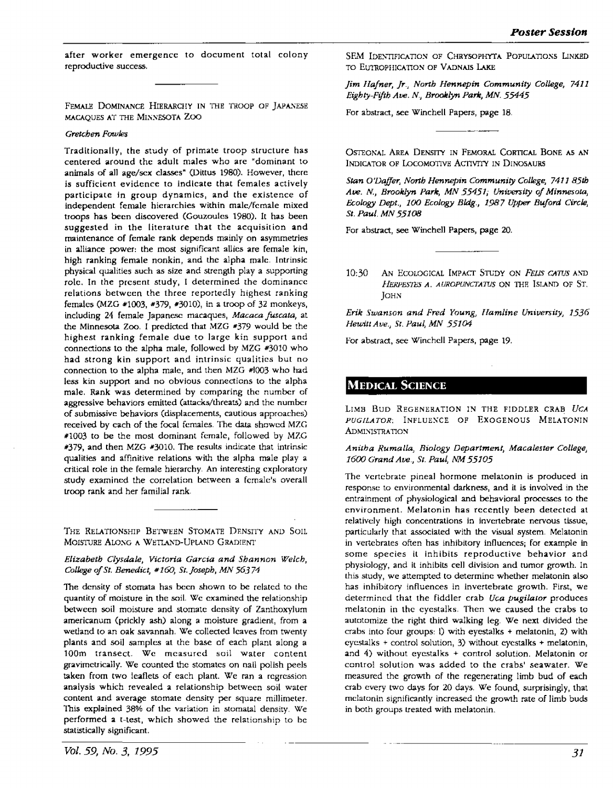after worker emergence to document total colony reproductive success.

FEMALE DOMINANCE HIERARCHY IN THE TROOP OF JAPANESE MACAQUES AT THE MINNESOTA ZOO

#### *Gretchen Fowles*

Traditionally, the study of primate troop structure has centered around the adult males who arc "dominant to animals of all age/sex classes" (Dittus 1980). However, there is sufficient evidence to indicate that females actively participate in group dynamics, and the existence of independent female hierarchies within male/female mixed troops has been discovered (Gouzoules 1980). It has been suggested in the literature that the acquisition and maintenance of female rank depends mainly on asymmetries in alliance power: the most significant allies are female kin, high ranking female nonkin, and the alpha male. Intrinsic physical qualities such as size and strength play a supporting role. In the present study, I determined the dominance relations between the three reportedly highest ranking females (MZG •1003, •379, #3010), in a troop of 32 monkeys, including 24 female Japanese macaques, *Macaca fuscata*, at the Minnesota Zoo. I predicted that MZG #379 would be the highest ranking female due to large kin support and connections to the alpha male, followed by MZG #3010 who had strong kin support and intrinsic qualities but no connection to the alpha male, and then MZG #1003 who had less kin support and no obvious connections to the alpha male. Rank was determined by comparing the number of aggressive behaviors emitted (attacks/threats) and the number of submissive behaviors (displacements, cautious approaches) received by each of the focal females. The data showed MZG #1003 to be the most dominant female, followed by MZG #379, and then MZG #3010. The results indicate that intrinsic qualities and affinitive relations with the alpha male play a critical role in the female hierarchy. An interesting exploratory study examined the correlation between a female's overall troop rank and her familial rank

THE RELATIONSHIP BETWEEN STOMATE DENSITY AND SOIL MOISTURE ALONG A WETLAND-UPLAND GRADIENT

*Elizabeth Clysdale, Victoria Garcia and Shannon Welch, College of St. Benedict,* # *160, Sr. Joseph, MN 563 74* 

The density of stomata has been shown to be related to the quantity of moisture in the soil. We examined the relationship between soil moisture and stomatc density of Zanthoxylum americanum (prickly ash) along a moisture gradient, from a wetland to an oak savannah, We collected leaves from twenty plants and soil samples at the base of each plant along a 100m transect. We measured soil water content gravimetrically. We counted the stomates on nail polish peels taken from two leaflets of each plant. We ran a regression analysis which revealed **a** relationship between soil water content and average stomate density per square millimeter. This explained 38% of the variation in stomatal density. We performed **a** t-test, which showed the relationship to be statistically significant.

SEM IDENTIFICATION OF CHRYSOPHYTA POPULATIONS LINKED TO EUTROPHICATION OF VADNAIS LAKE

*Jim Hafner, Jr., North Hennepin Community College, 7411 Eighty-Fifth Ave. N., Brooklyn Parle, MN. 55445* 

For abstract, see Winchell Papers, page 18.

OSTEONAL AREA DENSITY IN FEMORAL CORTICAL BONE AS AN INDICATOR OF LOCOMOTIVE ACTIVITY IN DINOSAURS

*Stan O'Dajfer, North Hennepin Community College, 7411* 85th Ave. N., *Brooklyn Park, MN 55451; University of Minnesota*, *Ec.ology Dept., 100 Ecology Bldg., 1987 Upper Buford Circle, St. Paul. MN 55108* 

For abstract, see Winchell Papers, page 20.

10:30 AN ECOLOGICAL IMPACT STUDY ON *FELIS CATUS* AND *llERPFSrFS A. AUROPUNCTATTJS* ON THF. Isl.AND OF ST. JOHN

*Erik Swanson and Fred Young, Hamline University, 1536 Hewitt Ave., St. Paul, MN 55104* 

For abstract, see Winchell Papers, page 19.

### **MEDICAL SCIENCE**

LIMB Buo REGENERATION IN THE FIDDLER CRAB *UCA*  PUGILATOR; INFLUENCE OF EXOGENOUS MELATONIN **ADMINISTRATION** 

### *Anitha Ruma/la, Biology Department, Macalester College, 1600 Grand Ave., St. Paul, NM 55105*

The vertebrate pineal hormone melatonin is produced in response to environmental darkness, and it is involved in the entrainment of physiological and behavioral processes to the environment. Melatonin has recently been detected at relatively high concentrations in invertcbrale nervous tissue, particularly that associated with the visual system. Melatonin in vertebrates often has inhibitory influences; for example in some species it inhibits reproductive behavior and physiology, and it inhibits cell division and tumor growth. Jn this study, we attempted to determine whether melatonin also has inhibitory influences in invertebrate growth. First, we determined that the fiddler crab Uca *pugilator* produces melatonin in the cycsta!ks, Then we caused the crabs to autotomize the right third walking leg. We next divided the crabs into four groups: l) with eycstalks + melatonin, 2) with  $cycstalks + control solution, 3) without eyestalks + melanin,$ and 4) without eyestalks + control solution. Melatonin or control solution was added to the crabs' seawater. We measured the growth of the regenerating limb bud of each crab every two days for 20 days, We found, surprisingly, that melatonin significantly increased the growth rate of limb buds in both groups treated with melatonin.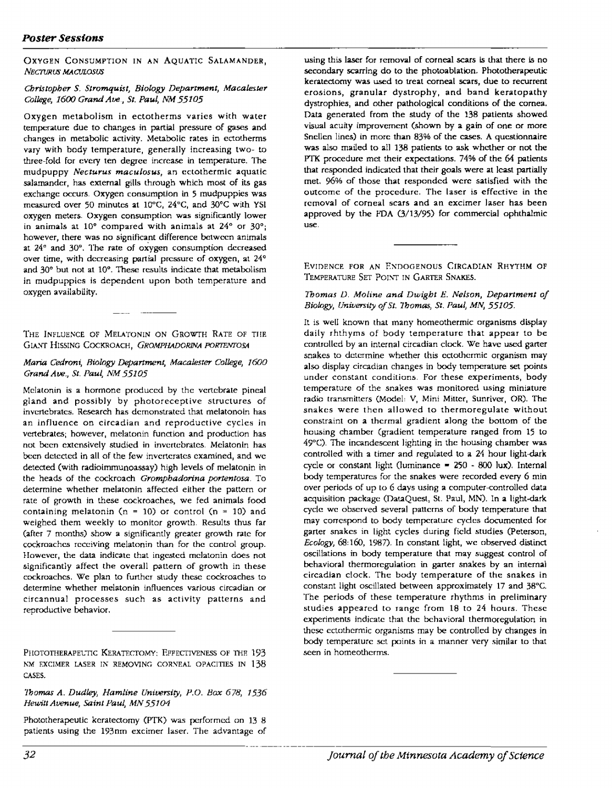### *Poster Sessions*

OXYGEN CONSUMPTION IN AN AQUATIC SALAMANDER, *NECTURUS MAaJLOSUS* 

### *Christopher S. Stromquist, Biology Department, Macalester College, 1600 Grand Ave, St. Paul, NM 55105*

Oxygen metabolism in ectotherms varies with water temperature due to changes in partial pressure of gases and changes in metabolic activity. Metabolic rates in ectotherms vary with body temperature, generally increasing two- to three-fold for every ten degree increase in temperature. The mudpuppy *Necturus maculosus*, an ectothermic aquatic salamander, has external gills through which most of its gas exchange occurs. Oxygen consumption in 5 mudpuppies was measured over 50 minutes at 1Q°C, 24°C, and 30°C with YSI oxygen meters. Oxygen consumption was significantly lower in animals at 10° compared with animals at 24° or 30°; however, there was no significant difference between animals at 24° and 30°. The rate of oxygen consumption decreased over time, with decreasing partial pressure of oxygen, at 24° and 30° but not at 10°. These results indicate that metabolism in mudpuppics is dependent upon both temperature and oxygen availability.

THE INFLUENCE OF MELATONIN ON GROWTH RATE OF THE GIANT HISSING COCKROACH, *GROMPHADORINA PORTENTOSA* 

### *Maria Cedrom; Biology Department, Macalesrer College, /600 Grand Aw., St. Paul, NM 55105*

Melatonin is a hormone produced by the vertebrate pineal gland and possibly by photoreceptive structures of invertebrates. Research has demonstrated that melatonoin has an influence on circadian and reproductive cycles in vertebrates; however, melatonin function and production has not been extensively studied in invertebrates. Melatonin has been detected in all of the few invcrtcrates examined, and we detected (with radioimmunoassay) high levels of melatonin in the heads of the cockroach *Gromphadorina portentosa.* To determine whether melatonin affected either the pattern or rate of growth in these cockroaches, we fed animals food containing melatonin (n = 10) or control (n = 10) and weighed them weekly to monitor growth. Results thus far (after 7 months) show a significantly greater growth rate for cockroaches receiving melatonin than for the control group. However, the data indicate that ingested melatonin does not significantly affect the overall pattern of growth in these cockroaches. We plan to further study these cockroaches to determine whether melatonin influences various circadian or circannual processes such as activity patterns and reproductive behavior.

PHOTOTHERAPELTIC KERATECTOMY: EFFECTIVENESS OF THE 193 KM EXCIMER LASER IN REMOVING CORNEAL OPACITIES IN 138 CASES.

### *1'bomas A. Dudley, Hamtine University, P.O. Box 678, 1536 Hewitt Avenue, Saint Paul, MN 55104*

Phototherapeutic keratectomy (PTK) was performed cm 13 8 patients using the 193nm excimer laser. The advantage of  $\frac{1}{20}$ 

using this laser for removal of corneal scars is that there is no secondary scarring do to the photoablation. Phototherapeutic keratectomy was used to treat corneal scars, due to recurrent erosions, granular dystrophy, and band keratopathy dystrophies, and other pathological conditions of the cornea. Data generated from the study of the 138 patients showed visual acuity improvement (shown by a gain of one or more Snellen lines) in more than 83% of the cases. A questionnaire was also mailed to all 138 patients to ask whether or not the PTK procedure met their expectations. 74% of the 64 patients that responded indicated that their goals were at least partially met. 96% of those that responded were satisfied with the outcome of the procedure. The laser is effective in the removal of corneal scars and an excimer laser has been approved by the FDA (3/13/95) for commercial ophthalmic use.

EVIDENCE FOR AN ENDOGENOUS CIRCADIAN RHYTHM OF TEMPERATURE SET POINT IN GARTER SNAKES.

#### *Thomas D. Moline and Dwight E. Nelson, Department of Biology, University of St. 1'bomas, St. Paul, MN, 55105.*

It is well known that many homeothermic organisms display daily rhthyms of body temperature that appear to be controlled by an internal circadian clock. We have used garter snakes to determine whether this cctothcrmic organism may also display circadian changes in body temperature set points under constant conditions. For these experiments, body temperature of the snakes was monitored using miniature radio transmitters (Model: V, Mini Mitter, Sunriver, OR). The snakes were then allowed to thermoregulate without constraint on **a** thermal gradient along the bottom of the housing chamber (gradient temperature ranged from 15 to 49°C). The incandescent lighting in the housing chamber was controlled with a timer and regulated to a 24 hour light-dark cycle or constant light (luminance  $= 250 - 800$  lux). Internal body temperatures for the snakes were recorded every 6 min over periods of up to 6 days using a computer-controlled data acquisition package (DataQuest, St. Paul, MN). In a light-dark cycle we observed several patterns of body temperature that may correspond to body temperature cycles documented for garter snakes in light cycles during field studies (Peterson, *Ecology,* 68,160, 1987). In constant light, we observed distinct oscillations in body temperature that may suggest control of behavioral thermorcgulation in garter snakes by an internal circadian dock. The body temperature of the snakes in constant light oscillated between approximately 17 and 38°C. The periods of these temperature rhythms in preliminary studies appeared to range from 18 to 24 hours. These experiments indicate that the behavioral thermoregulation in these ectothcrmic organisms may be controlled by changes in body temperature set points in a manner very similar to that seen in homeotherms.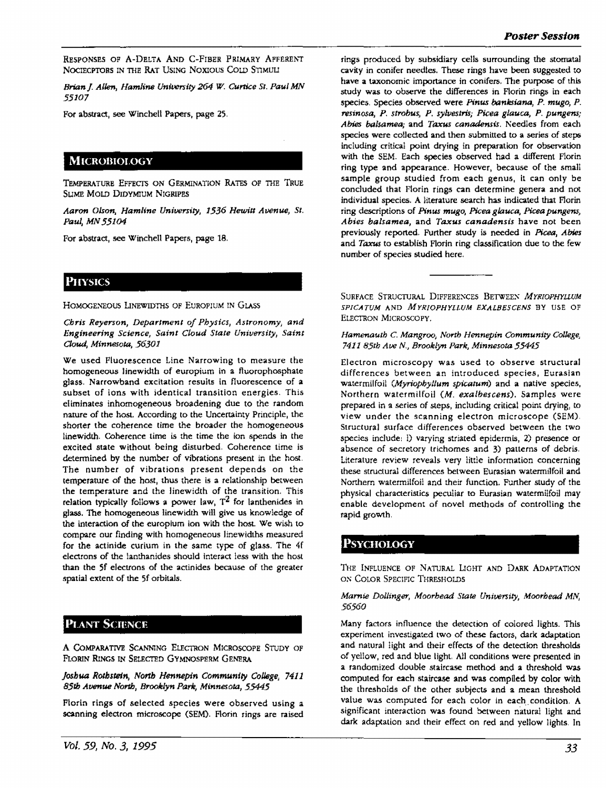RESPONSES OF A-DELTA AND C-FIBER PRIMARY AFFERENT NOCIECPTORS IN THE RAT USING NOXIOUS COLD STIMULI

*Brian* J. *Allen, Hamline University 264 W. Curtice St. Paul MN 55107* 

For abstract, see Winchell Papers, page 25,

## **MICROBIOLOGY**

TEMPERATURE EFFECTS ON GERMINATION RATES OF THE TRUE SUME MOLD DIDYMIUM NIGRIPES

*Aaron Olson, Hamline Uniwrsity, 1536 Hewitt Awnue, St. Paul, MN 55104* 

For abstract, see Winchell Papers, page 18.

### **PHYSICS**

HOMOGENEOUS LINEWIDTHS OF EUROPIUM IN GLASS

*Chris Reyerson, Department of Physics, Astronomy, and*  **Engineering** *Science, Saint Cloud State University, Saint Cloud, Minnesota, 56301* 

We used Fluorescence Line Narrowing to measure the homogeneous linewidth of europium in a fluorophosphate **glass. Narrowband** excitation results in fluorescence of **a**  subset of ions with identical transition energies. This eliminates inhomogeneous broadening due to the random nature of the host. According to the Uncertainty Principle, the shorter the coherence time the broader the homogeneous linewidth. Coherence time is the time the ion spends in the excited **state** without being disturbed, Coherence time is detennined by the number of vibrations present in the host. The number of vibrations present depends on the temperarure of the host, thus there is **a** relationship between the temperature and the linewidth of the transition. This relation typically follows a power law,  $T^2$  for lanthenides in glass. The homogeneous linewidth will give us knowledge of the interaction of the europium ion with the host. We wish to compare our finding with homogeneous linewidths measured for the actinide curium in the same type of glass. The 4f electrons of the !anthanides should interact less with the host than the Sf elecuons of the actinides because of the greater spatial extent of the Sf orbitals.

#### **PLANT SCIENCE** '

A COMPARATIVE SCANNING ELECTRON MICROSCOPE STUDY OF FLORIN RINGS IN SELECTED GYMNOSPERM GENERA

*Joshua Roth.stein, Nonb Hennepin Communtiy Co/Jege, 7411 85th* **Avenue** *North, Brooklyn Parle, Minnesota, 55445* 

Florin rings of selected species were observed using a scanning electron microscope (SEM). Florin rings are raised

rings produced by subsidiary cells surrounding the stomata! cavity in conifer needles. These rings have been suggested to **have a** taxonomic importance in conifers. The purpose of this study was to observe the differences in Florin rings in each species, Species observed were *Pinus banksiana*, P. mugo, P. resinosa, P. strobus, P. sylvestris; Picea glauca, P. pungens; *Ables balsamea;* and *Taxus canadensis.* Needles from each species were collected and then submitted to a series of steps including critical point drying in preparation for observation with the SEM. Each species observed had a different Florin ring type and appearance. However, because of the small sample group studied from each genus, it can only be concluded that Florin rings can determine genera and not individual species. A literature search has indicated that Florin ring descriptions of *Pinw mugo, Piceaglauca, Piceapwngens, Abses balsamea,* and *Taxus canadensis* have not been previously reported. Further study is needed in *Picea, Abies*  and *Taxus* to establish Florin ring classification due to the few number of species studied here.

SURFACE STRUCTURAL DIFFERENCES BETWEEN *MYRIOPHYLLUM SP!CATUM* AND *MYR!OPHYLLUM EXALBESCENS* BY USE OF ELECTRON MICROSCOPY,

*Hamenauth* C. *Mangroo, North Hennepin Community College, 7411 85th Ave* N., *Brooklyn Park, Minnesota 55445* 

Electron microscopy was used to observe structural differences between an introduced species, Eurasian watermilfoil *(.Myriophyllum spicatum)* and **a** native species, Northern watermHfoil *(M. exalbescens).* Samples were prepared in a series of steps, including critical point drying, to view under the scanning electron microscope (SEM). Structural surface differences observed between the two species include: !) varying striated epidermis, 2) presence or absence of secretory trichomes and 3) patterns of debris, Literature review reveals very little information concerning these structural differences between Eurasian watermilfoil **and**  Northern watermilfoil and their function. Further study of the physical characteristics peculiar to Eurasian watermi!foil may enable development of novel methods of controlling the rapid growth.

# **PSYCHOLOGY**

THE INFLUENCE OF NATURAL LIGHT AND DARK ADAPTATION ON COLOR SPECIFIC THRESHOLDS

### *Marnie Dollinger, Moorhead State University, Moorhead MN, 56560*

Many factors influence the detection of colored lights. This experiment investigated two of these factors, dark adaptation and natural light and their effects of the detection thresholds of yellow, red and blue light. All conditions were presented in **a** randomized double staircase method and a threshold was computed for each **staircase** and was compiled by color with the thresholds of the other subjects and a mean threshold value was computed for each color in each condition. A significant interaction was found between natural light and dark adaptation and their effect on red and yellow lights. In